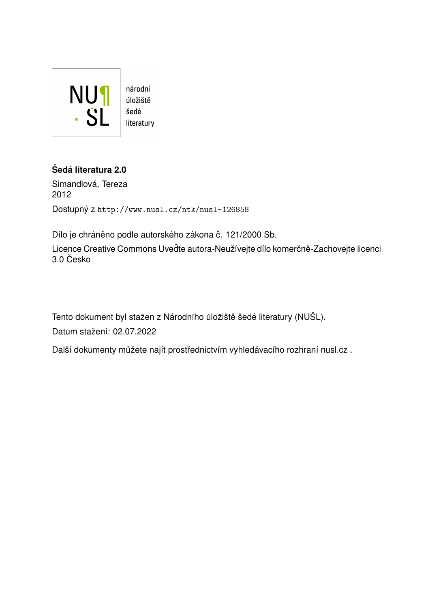

# $\check{\text{S}}$ edá literatura 2.0

Simandlová, Tereza 2012 Dostupný z <http://www.nusl.cz/ntk/nusl-126858>

Dílo je chráněno podle autorského zákona č. 121/2000 Sb.

Licence Creative Commons Uveďte autora-Neužívejte dílo komerčně-Zachovejte licenci  $3.0$  Česko

Tento dokument byl stažen z Národního úložiště šedé literatury (NUŠL).

Datum stažení: 02.07.2022

Další dokumenty můžete najít prostřednictvím vyhledávacího rozhraní [nusl.cz](http://www.nusl.cz) .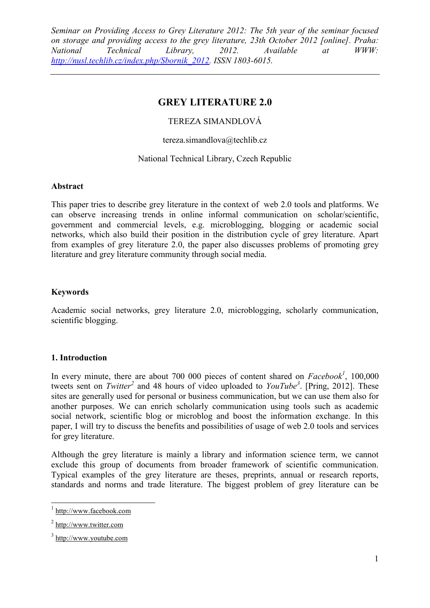## **GREY LITERATURE 2.0**

## TEREZA SIMANDLOVÁ

#### tereza.simandlova@techlib.cz

## National Technical Library, Czech Republic

#### **Abstract**

This paper tries to describe grey literature in the context of web 2.0 tools and platforms. We can observe increasing trends in online informal communication on scholar/scientific, government and commercial levels, e.g. microblogging, blogging or academic social networks, which also build their position in the distribution cycle of grey literature. Apart from examples of grey literature 2.0, the paper also discusses problems of promoting grey literature and grey literature community through social media.

#### **Keywords**

Academic social networks, grey literature 2.0, microblogging, scholarly communication, scientific blogging.

## **1. Introduction**

In every minute, there are about 700 000 pieces of content shared on  $Facebook<sup>1</sup>$ , 100,000 tweets sent on *Twitter<sup>2</sup>* and 48 hours of video uploaded to *YouTube<sup>3</sup>* . [Pring, 2012]. These sites are generally used for personal or business communication, but we can use them also for another purposes. We can enrich scholarly communication using tools such as academic social network, scientific blog or microblog and boost the information exchange. In this paper, I will try to discuss the benefits and possibilities of usage of web 2.0 tools and services for grey literature.

Although the grey literature is mainly a library and information science term, we cannot exclude this group of documents from broader framework of scientific communication. Typical examples of the grey literature are theses, preprints, annual or research reports, standards and norms and trade literature. The biggest problem of grey literature can be

<sup>&</sup>lt;sup>1</sup> [http://www.facebook.com](http://www.facebook.com/)

<sup>&</sup>lt;sup>2</sup> [http://www.twitter.com](http://www.twitter.com/)

<sup>&</sup>lt;sup>3</sup> [http://www.youtube.com](http://www.youtube.com/)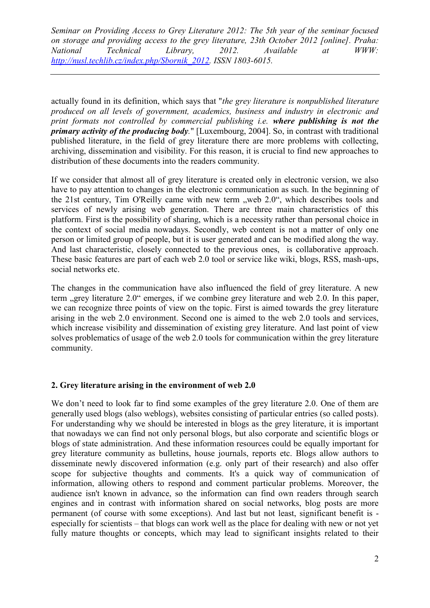actually found in its definition, which says that "*the grey literature is nonpublished literature produced on all levels of government, academics, business and industry in electronic and print formats not controlled by commercial publishing i.e. where publishing is not the primary activity of the producing body.*" [Luxembourg, 2004]. So, in contrast with traditional published literature, in the field of grey literature there are more problems with collecting, archiving, dissemination and visibility. For this reason, it is crucial to find new approaches to distribution of these documents into the readers community.

If we consider that almost all of grey literature is created only in electronic version, we also have to pay attention to changes in the electronic communication as such. In the beginning of the 21st century, Tim O'Reilly came with new term "web 2.0", which describes tools and services of newly arising web generation. There are three main characteristics of this platform. First is the possibility of sharing, which is a necessity rather than personal choice in the context of social media nowadays. Secondly, web content is not a matter of only one person or limited group of people, but it is user generated and can be modified along the way. And last characteristic, closely connected to the previous ones, is collaborative approach. These basic features are part of each web 2.0 tool or service like wiki, blogs, RSS, mash-ups, social networks etc.

The changes in the communication have also influenced the field of grey literature. A new term ..grey literature 2.0" emerges, if we combine grey literature and web 2.0. In this paper, we can recognize three points of view on the topic. First is aimed towards the grey literature arising in the web 2.0 environment. Second one is aimed to the web 2.0 tools and services, which increase visibility and dissemination of existing grey literature. And last point of view solves problematics of usage of the web 2.0 tools for communication within the grey literature community.

#### **2. Grey literature arising in the environment of web 2.0**

We don't need to look far to find some examples of the grey literature 2.0. One of them are generally used blogs (also weblogs), websites consisting of particular entries (so called posts). For understanding why we should be interested in blogs as the grey literature, it is important that nowadays we can find not only personal blogs, but also corporate and scientific blogs or blogs of state administration. And these information resources could be equally important for grey literature community as bulletins, house journals, reports etc. Blogs allow authors to disseminate newly discovered information (e.g. only part of their research) and also offer scope for subjective thoughts and comments. It's a quick way of communication of information, allowing others to respond and comment particular problems. Moreover, the audience isn't known in advance, so the information can find own readers through search engines and in contrast with information shared on social networks, blog posts are more permanent (of course with some exceptions). And last but not least, significant benefit is especially for scientists – that blogs can work well as the place for dealing with new or not yet fully mature thoughts or concepts, which may lead to significant insights related to their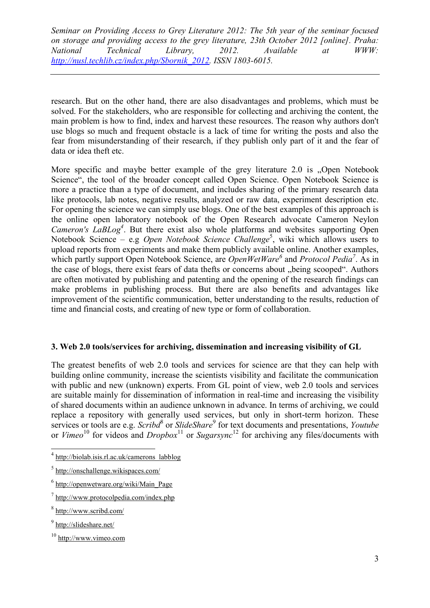research. But on the other hand, there are also disadvantages and problems, which must be solved. For the stakeholders, who are responsible for collecting and archiving the content, the main problem is how to find, index and harvest these resources. The reason why authors don't use blogs so much and frequent obstacle is a lack of time for writing the posts and also the fear from misunderstanding of their research, if they publish only part of it and the fear of data or idea theft etc.

More specific and maybe better example of the grey literature 2.0 is "Open Notebook Science", the tool of the broader concept called Open Science. Open Notebook Science is more a practice than a type of document, and includes sharing of the primary research data like protocols, lab notes, negative results, analyzed or raw data, experiment description etc. For opening the science we can simply use blogs. One of the best examples of this approach is the online open laboratory notebook of the Open Research advocate Cameron Neylon *Cameron's LaBLog<sup>4</sup>* . But there exist also whole platforms and websites supporting Open Notebook Science – e.g *Open Notebook Science Challenge*<sup>5</sup>, wiki which allows users to upload reports from experiments and make them publicly available online. Another examples, which partly support Open Notebook Science, are *OpenWetWare<sup>6</sup>* and *Protocol Pedia<sup>7</sup>* . As in the case of blogs, there exist fears of data thefts or concerns about "being scooped". Authors are often motivated by publishing and patenting and the opening of the research findings can make problems in publishing process. But there are also benefits and advantages like improvement of the scientific communication, better understanding to the results, reduction of time and financial costs, and creating of new type or form of collaboration.

## **3. Web 2.0 tools/services for archiving, dissemination and increasing visibility of GL**

The greatest benefits of web 2.0 tools and services for science are that they can help with building online community, increase the scientists visibility and facilitate the communication with public and new (unknown) experts. From GL point of view, web 2.0 tools and services are suitable mainly for dissemination of information in real-time and increasing the visibility of shared documents within an audience unknown in advance. In terms of archiving, we could replace a repository with generally used services, but only in short-term horizon. These services or tools are e.g. *Scribd*<sup>8</sup> or *SlideShare*<sup>9</sup> for text documents and presentations, *Youtube* or *Vimeo*<sup>10</sup> for videos and *Dropbox*<sup>11</sup> or *Sugarsync*<sup>12</sup> for archiving any files/documents with

 4 [http://biolab.isis.rl.ac.uk/camerons\\_labblog](http://biolab.isis.rl.ac.uk/camerons_labblog)

<sup>&</sup>lt;sup>5</sup> <http://onschallenge.wikispaces.com/>

<sup>&</sup>lt;sup>6</sup> [http://openwetware.org/wiki/Main\\_Page](http://openwetware.org/wiki/Main_Page)

<sup>&</sup>lt;sup>7</sup> <http://www.protocolpedia.com/index.php>

<sup>&</sup>lt;sup>8</sup> <http://www.scribd.com/>

<sup>&</sup>lt;sup>9</sup> <http://slideshare.net/>

<sup>10</sup> [http://www.vimeo.com](http://www.vimeo.com/)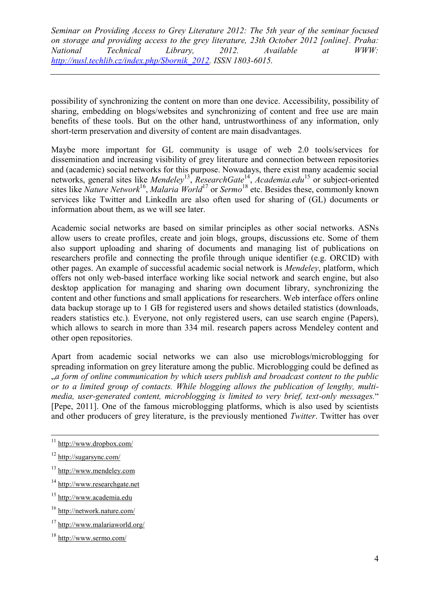possibility of synchronizing the content on more than one device. Accessibility, possibility of sharing, embedding on blogs/websites and synchronizing of content and free use are main benefits of these tools. But on the other hand, untrustworthiness of any information, only short-term preservation and diversity of content are main disadvantages.

Maybe more important for GL community is usage of web 2.0 tools/services for dissemination and increasing visibility of grey literature and connection between repositories and (academic) social networks for this purpose. Nowadays, there exist many academic social networks, general sites like *Mendeley*<sup>13</sup>, *ResearchGate*<sup>14</sup>, *Academia.edu*<sup>15</sup> or subject-oriented sites like *Nature Network*<sup>16</sup> , *Malaria World*<sup>17</sup> or *Sermo*<sup>18</sup> etc. Besides these, commonly known services like Twitter and LinkedIn are also often used for sharing of (GL) documents or information about them, as we will see later.

Academic social networks are based on similar principles as other social networks. ASNs allow users to create profiles, create and join blogs, groups, discussions etc. Some of them also support uploading and sharing of documents and managing list of publications on researchers profile and connecting the profile through unique identifier (e.g. ORCID) with other pages. An example of successful academic social network is *Mendeley*, platform, which offers not only web-based interface working like social network and search engine, but also desktop application for managing and sharing own document library, synchronizing the content and other functions and small applications for researchers. Web interface offers online data backup storage up to 1 GB for registered users and shows detailed statistics (downloads, readers statistics etc.). Everyone, not only registered users, can use search engine (Papers), which allows to search in more than 334 mil. research papers across Mendeley content and other open repositories.

Apart from academic social networks we can also use microblogs/microblogging for spreading information on grey literature among the public. Microblogging could be defined as "*a form of online communication by which users publish and broadcast content to the public or to a limited group of contacts. While blogging allows the publication of lengthy, multimedia, user-generated content, microblogging is limited to very brief, text-only messages.*" [Pepe, 2011]. One of the famous microblogging platforms, which is also used by scientists and other producers of grey literature, is the previously mentioned *Twitter*. Twitter has over

- <sup>13</sup> [http://www.mendeley.com](http://www.mendeley.com/)
- <sup>14</sup> [http://www.researchgate.net](http://www.researchgate.net/)
- <sup>15</sup> [http://www.academia.edu](http://www.academia.edu/)
- <sup>16</sup> <http://network.nature.com/>
- <sup>17</sup> <http://www.malariaworld.org/>

<sup>&</sup>lt;sup>11</sup> <http://www.dropbox.com/>

<sup>12</sup> <http://sugarsync.com/>

<sup>18</sup> <http://www.sermo.com/>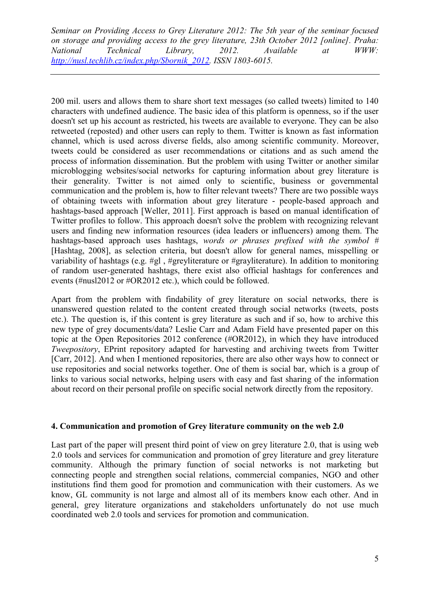200 mil. users and allows them to share short text messages (so called tweets) limited to 140 characters with undefined audience. The basic idea of this platform is openness, so if the user doesn't set up his account as restricted, his tweets are available to everyone. They can be also retweeted (reposted) and other users can reply to them. Twitter is known as fast information channel, which is used across diverse fields, also among scientific community. Moreover, tweets could be considered as user recommendations or citations and as such amend the process of information dissemination. But the problem with using Twitter or another similar microblogging websites/social networks for capturing information about grey literature is their generality. Twitter is not aimed only to scientific, business or governmental communication and the problem is, how to filter relevant tweets? There are two possible ways of obtaining tweets with information about grey literature - people-based approach and hashtags-based approach [Weller, 2011]. First approach is based on manual identification of Twitter profiles to follow. This approach doesn't solve the problem with recognizing relevant users and finding new information resources (idea leaders or influencers) among them. The hashtags-based approach uses hashtags, *words or phrases prefixed with the symbol #* [Hashtag, 2008], as selection criteria, but doesn't allow for general names, misspelling or variability of hashtags (e.g. #gl , #greyliterature or #grayliterature). In addition to monitoring of random user-generated hashtags, there exist also official hashtags for conferences and events (#nusl2012 or #OR2012 etc.), which could be followed.

Apart from the problem with findability of grey literature on social networks, there is unanswered question related to the content created through social networks (tweets, posts etc.). The question is, if this content is grey literature as such and if so, how to archive this new type of grey documents/data? Leslie Carr and Adam Field have presented paper on this topic at the Open Repositories 2012 conference (#OR2012), in which they have introduced *Tweepository*, EPrint repository adapted for harvesting and archiving tweets from Twitter [Carr, 2012]. And when I mentioned repositories, there are also other ways how to connect or use repositories and social networks together. One of them is social bar, which is a group of links to various social networks, helping users with easy and fast sharing of the information about record on their personal profile on specific social network directly from the repository.

#### **4. Communication and promotion of Grey literature community on the web 2.0**

Last part of the paper will present third point of view on grey literature 2.0, that is using web 2.0 tools and services for communication and promotion of grey literature and grey literature community. Although the primary function of social networks is not marketing but connecting people and strengthen social relations, commercial companies, NGO and other institutions find them good for promotion and communication with their customers. As we know, GL community is not large and almost all of its members know each other. And in general, grey literature organizations and stakeholders unfortunately do not use much coordinated web 2.0 tools and services for promotion and communication.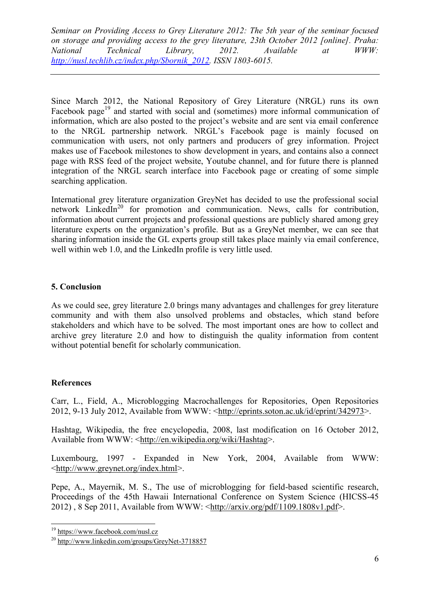Since March 2012, the National Repository of Grey Literature (NRGL) runs its own Facebook page<sup>19</sup> and started with social and (sometimes) more informal communication of information, which are also posted to the project's website and are sent via email conference to the NRGL partnership network. NRGL's Facebook page is mainly focused on communication with users, not only partners and producers of grey information. Project makes use of Facebook milestones to show development in years, and contains also a connect page with RSS feed of the project website, Youtube channel, and for future there is planned integration of the NRGL search interface into Facebook page or creating of some simple searching application.

International grey literature organization GreyNet has decided to use the professional social network LinkedIn<sup>20</sup> for promotion and communication. News, calls for contribution, information about current projects and professional questions are publicly shared among grey literature experts on the organization's profile. But as a GreyNet member, we can see that sharing information inside the GL experts group still takes place mainly via email conference, well within web 1.0, and the LinkedIn profile is very little used.

## **5. Conclusion**

As we could see, grey literature 2.0 brings many advantages and challenges for grey literature community and with them also unsolved problems and obstacles, which stand before stakeholders and which have to be solved. The most important ones are how to collect and archive grey literature 2.0 and how to distinguish the quality information from content without potential benefit for scholarly communication.

## **References**

 $\overline{a}$ 

Carr, L., Field, A., Microblogging Macrochallenges for Repositories, Open Repositories 2012, 9-13 July 2012, Available from WWW: [<http://eprints.soton.ac.uk/id/eprint/342973>](http://eprints.soton.ac.uk/id/eprint/342973).

Hashtag, Wikipedia, the free encyclopedia, 2008, last modification on 16 October 2012, Available from WWW: [<http://en.wikipedia.org/wiki/Hashtag>](http://en.wikipedia.org/wiki/Hashtag).

Luxembourg, 1997 - Expanded in New York, 2004, Available from WWW: [<http://www.greynet.org/index.html>](http://www.greynet.org/index.html).

Pepe, A., Mayernik, M. S., The use of microblogging for field-based scientific research, Proceedings of the 45th Hawaii International Conference on System Science (HICSS-45 2012) , 8 Sep 2011, Available from WWW: [<http://arxiv.org/pdf/1109.1808v1.pdf>](http://arxiv.org/pdf/1109.1808v1.pdf).

<sup>&</sup>lt;sup>19</sup> <https://www.facebook.com/nusl.cz>

<sup>20</sup> <http://www.linkedin.com/groups/GreyNet-3718857>